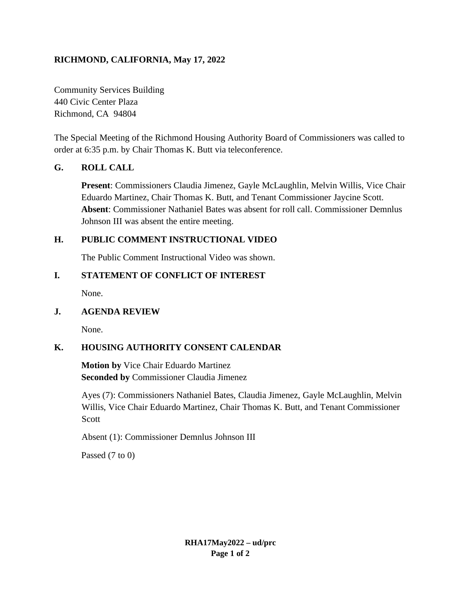# **RICHMOND, CALIFORNIA, May 17, 2022**

Community Services Building 440 Civic Center Plaza Richmond, CA 94804

The Special Meeting of the Richmond Housing Authority Board of Commissioners was called to order at 6:35 p.m. by Chair Thomas K. Butt via teleconference.

#### **G. ROLL CALL**

**Present**: Commissioners Claudia Jimenez, Gayle McLaughlin, Melvin Willis, Vice Chair Eduardo Martinez, Chair Thomas K. Butt, and Tenant Commissioner Jaycine Scott. **Absent**: Commissioner Nathaniel Bates was absent for roll call. Commissioner Demnlus Johnson III was absent the entire meeting.

#### **H. PUBLIC COMMENT INSTRUCTIONAL VIDEO**

The Public Comment Instructional Video was shown.

#### **I. STATEMENT OF CONFLICT OF INTEREST**

None.

#### **J. AGENDA REVIEW**

None.

# **K. HOUSING AUTHORITY CONSENT CALENDAR**

**Motion by** Vice Chair Eduardo Martinez **Seconded by** Commissioner Claudia Jimenez

Ayes (7): Commissioners Nathaniel Bates, Claudia Jimenez, Gayle McLaughlin, Melvin Willis, Vice Chair Eduardo Martinez, Chair Thomas K. Butt, and Tenant Commissioner Scott

Absent (1): Commissioner Demnlus Johnson III

Passed (7 to 0)